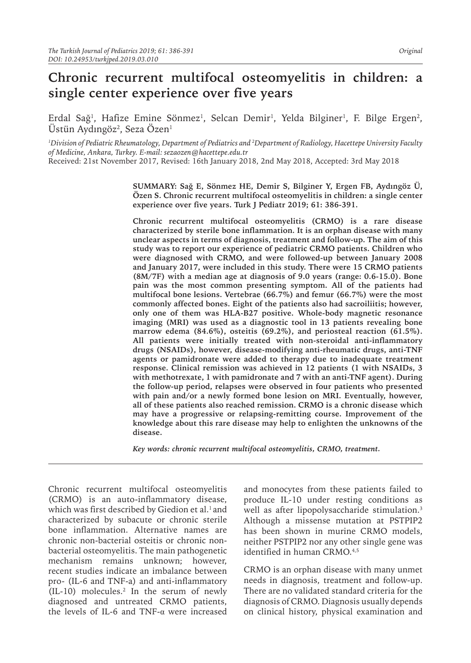# **Chronic recurrent multifocal osteomyelitis in children: a single center experience over five years**

Erdal Sağ<sup>ı</sup>, Hafize Emine Sönmez<sup>ı</sup>, Selcan Demir<sup>ı</sup>, Yelda Bilginer<sup>ı</sup>, F. Bilge Ergen<sup>2</sup>, Ustün Aydıngöz $^2$ , Seza Ozen $^1$ 

*1 Division of Pediatric Rheumatology, Department of Pediatrics and 2 Department of Radiology, Hacettepe University Faculty of Medicine, Ankara, Turkey. E-mail: sezaozen@hacettepe.edu.tr* Received: 21st November 2017, Revised: 16th January 2018, 2nd May 2018, Accepted: 3rd May 2018

> **SUMMARY: Sağ E, Sönmez HE, Demir S, Bilginer Y, Ergen FB, Aydıngöz Ü, Özen S. Chronic recurrent multifocal osteomyelitis in children: a single center experience over five years. Turk J Pediatr 2019; 61: 386-391.**

> **Chronic recurrent multifocal osteomyelitis (CRMO) is a rare disease characterized by sterile bone inflammation. It is an orphan disease with many unclear aspects in terms of diagnosis, treatment and follow-up. The aim of this study was to report our experience of pediatric CRMO patients. Children who were diagnosed with CRMO, and were followed-up between January 2008 and January 2017, were included in this study. There were 15 CRMO patients (8M/7F) with a median age at diagnosis of 9.0 years (range: 0.6-15.0). Bone pain was the most common presenting symptom. All of the patients had multifocal bone lesions. Vertebrae (66.7%) and femur (66.7%) were the most commonly affected bones. Eight of the patients also had sacroiliitis; however, only one of them was HLA-B27 positive. Whole-body magnetic resonance imaging (MRI) was used as a diagnostic tool in 13 patients revealing bone marrow edema (84.6%), osteitis (69.2%), and periosteal reaction (61.5%). All patients were initially treated with non-steroidal anti-inflammatory drugs (NSAIDs), however, disease-modifying anti-rheumatic drugs, anti-TNF agents or pamidronate were added to therapy due to inadequate treatment response. Clinical remission was achieved in 12 patients (1 with NSAIDs, 3 with methotrexate, 1 with pamidronate and 7 with an anti-TNF agent). During the follow-up period, relapses were observed in four patients who presented with pain and/or a newly formed bone lesion on MRI. Eventually, however, all of these patients also reached remission. CRMO is a chronic disease which may have a progressive or relapsing-remitting course. Improvement of the knowledge about this rare disease may help to enlighten the unknowns of the disease.**

*Key words: chronic recurrent multifocal osteomyelitis, CRMO, treatment.*

Chronic recurrent multifocal osteomyelitis (CRMO) is an auto-inflammatory disease, which was first described by Giedion et al.<sup>1</sup> and characterized by subacute or chronic sterile bone inflammation. Alternative names are chronic non-bacterial osteitis or chronic nonbacterial osteomyelitis. The main pathogenetic mechanism remains unknown; however, recent studies indicate an imbalance between pro- (IL-6 and TNF-a) and anti-inflammatory (IL-10) molecules.2 In the serum of newly diagnosed and untreated CRMO patients, the levels of IL-6 and TNF-α were increased

and monocytes from these patients failed to produce IL-10 under resting conditions as well as after lipopolysaccharide stimulation.<sup>3</sup> Although a missense mutation at PSTPIP2 has been shown in murine CRMO models, neither PSTPIP2 nor any other single gene was identified in human CRMO.<sup>4,5</sup>

CRMO is an orphan disease with many unmet needs in diagnosis, treatment and follow-up. There are no validated standard criteria for the diagnosis of CRMO. Diagnosis usually depends on clinical history, physical examination and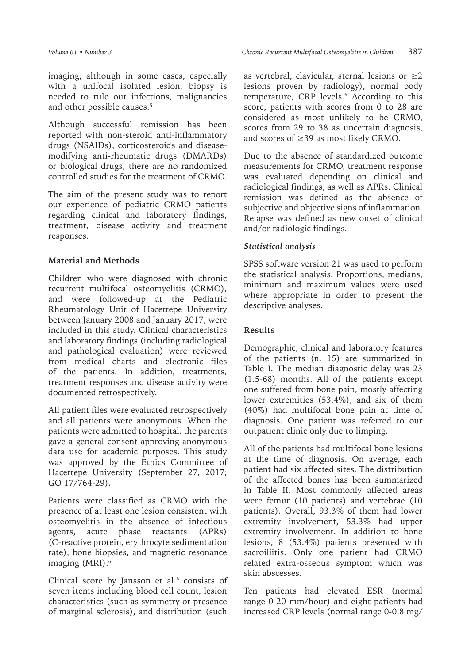imaging, although in some cases, especially with a unifocal isolated lesion, biopsy is needed to rule out infections, malignancies and other possible causes.<sup>5</sup>

Although successful remission has been reported with non-steroid anti-inflammatory drugs (NSAIDs), corticosteroids and diseasemodifying anti-rheumatic drugs (DMARDs) or biological drugs, there are no randomized controlled studies for the treatment of CRMO.

The aim of the present study was to report our experience of pediatric CRMO patients regarding clinical and laboratory findings, treatment, disease activity and treatment responses.

# **Material and Methods**

Children who were diagnosed with chronic recurrent multifocal osteomyelitis (CRMO), and were followed-up at the Pediatric Rheumatology Unit of Hacettepe University between January 2008 and January 2017, were included in this study. Clinical characteristics and laboratory findings (including radiological and pathological evaluation) were reviewed from medical charts and electronic files of the patients. In addition, treatments, treatment responses and disease activity were documented retrospectively.

All patient files were evaluated retrospectively and all patients were anonymous. When the patients were admitted to hospital, the parents gave a general consent approving anonymous data use for academic purposes. This study was approved by the Ethics Committee of Hacettepe University (September 27, 2017; GO 17/764-29).

Patients were classified as CRMO with the presence of at least one lesion consistent with osteomyelitis in the absence of infectious agents, acute phase reactants (APRs) (C-reactive protein, erythrocyte sedimentation rate), bone biopsies, and magnetic resonance imaging (MRI).<sup>6</sup>

Clinical score by Jansson et al. $6$  consists of seven items including blood cell count, lesion characteristics (such as symmetry or presence of marginal sclerosis), and distribution (such

as vertebral, clavicular, sternal lesions or  $\geq 2$ lesions proven by radiology), normal body temperature, CRP levels.<sup>6</sup> According to this score, patients with scores from 0 to 28 are considered as most unlikely to be CRMO, scores from 29 to 38 as uncertain diagnosis, and scores of ≥39 as most likely CRMO.

Due to the absence of standardized outcome measurements for CRMO, treatment response was evaluated depending on clinical and radiological findings, as well as APRs. Clinical remission was defined as the absence of subjective and objective signs of inflammation. Relapse was defined as new onset of clinical and/or radiologic findings.

# *Statistical analysis*

SPSS software version 21 was used to perform the statistical analysis. Proportions, medians, minimum and maximum values were used where appropriate in order to present the descriptive analyses.

#### **Results**

Demographic, clinical and laboratory features of the patients (n: 15) are summarized in Table I. The median diagnostic delay was 23 (1.5-68) months. All of the patients except one suffered from bone pain, mostly affecting lower extremities (53.4%), and six of them (40%) had multifocal bone pain at time of diagnosis. One patient was referred to our outpatient clinic only due to limping.

All of the patients had multifocal bone lesions at the time of diagnosis. On average, each patient had six affected sites. The distribution of the affected bones has been summarized in Table II. Most commonly affected areas were femur (10 patients) and vertebrae (10 patients). Overall, 93.3% of them had lower extremity involvement, 53.3% had upper extremity involvement. In addition to bone lesions, 8 (53.4%) patients presented with sacroiliitis. Only one patient had CRMO related extra-osseous symptom which was skin abscesses.

Ten patients had elevated ESR (normal range 0-20 mm/hour) and eight patients had increased CRP levels (normal range 0-0.8 mg/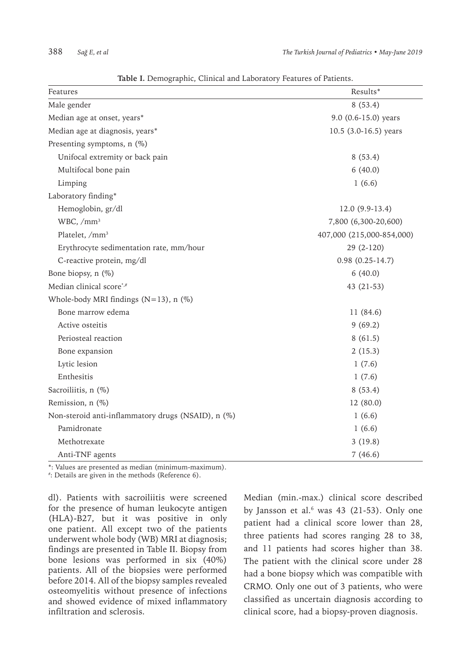| Features                                           | Results*                  |
|----------------------------------------------------|---------------------------|
| Male gender                                        | 8(53.4)                   |
| Median age at onset, years*                        | 9.0 (0.6-15.0) years      |
| Median age at diagnosis, years*                    | 10.5 (3.0-16.5) years     |
| Presenting symptoms, n (%)                         |                           |
| Unifocal extremity or back pain                    | 8(53.4)                   |
| Multifocal bone pain                               | 6(40.0)                   |
| Limping                                            | 1(6.6)                    |
| Laboratory finding*                                |                           |
| Hemoglobin, gr/dl                                  | $12.0(9.9-13.4)$          |
| WBC, /mm <sup>3</sup>                              | 7,800 (6,300-20,600)      |
| Platelet, /mm <sup>3</sup>                         | 407,000 (215,000-854,000) |
| Erythrocyte sedimentation rate, mm/hour            | 29 (2-120)                |
| C-reactive protein, mg/dl                          | $0.98(0.25-14.7)$         |
| Bone biopsy, n (%)                                 | 6(40.0)                   |
| Median clinical score*,#                           | 43 (21-53)                |
| Whole-body MRI findings ( $N=13$ ), n (%)          |                           |
| Bone marrow edema                                  | 11 (84.6)                 |
| Active osteitis                                    | 9(69.2)                   |
| Periosteal reaction                                | 8(61.5)                   |
| Bone expansion                                     | 2(15.3)                   |
| Lytic lesion                                       | 1(7.6)                    |
| Enthesitis                                         | 1(7.6)                    |
| Sacroiliitis, n (%)                                | 8(53.4)                   |
| Remission, n (%)                                   | 12 (80.0)                 |
| Non-steroid anti-inflammatory drugs (NSAID), n (%) | 1(6.6)                    |
| Pamidronate                                        | 1(6.6)                    |
| Methotrexate                                       | 3(19.8)                   |
| Anti-TNF agents                                    | 7(46.6)                   |

**Table I.** Demographic, Clinical and Laboratory Features of Patients.

\*: Values are presented as median (minimum-maximum).

# : Details are given in the methods (Reference 6).

dl). Patients with sacroiliitis were screened for the presence of human leukocyte antigen (HLA)-B27, but it was positive in only one patient. All except two of the patients underwent whole body (WB) MRI at diagnosis; findings are presented in Table II. Biopsy from bone lesions was performed in six (40%) patients. All of the biopsies were performed before 2014. All of the biopsy samples revealed osteomyelitis without presence of infections and showed evidence of mixed inflammatory infiltration and sclerosis.

Median (min.-max.) clinical score described by Jansson et al. $6$  was 43 (21-53). Only one patient had a clinical score lower than 28, three patients had scores ranging 28 to 38, and 11 patients had scores higher than 38. The patient with the clinical score under 28 had a bone biopsy which was compatible with CRMO. Only one out of 3 patients, who were classified as uncertain diagnosis according to clinical score, had a biopsy-proven diagnosis.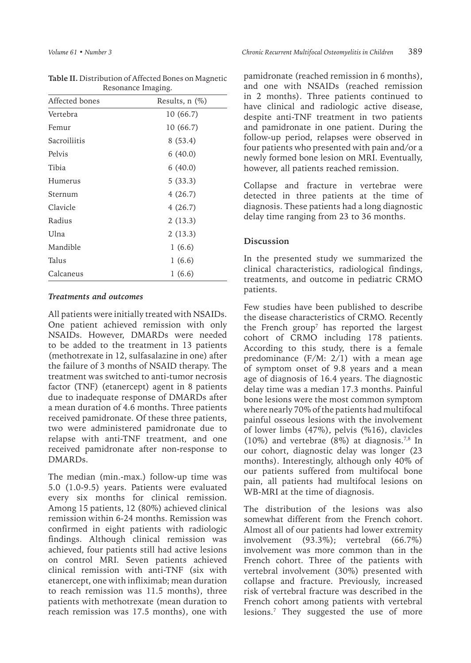| Resonance maging. |                     |
|-------------------|---------------------|
| Affected bones    | Results, $n$ $(\%)$ |
| Vertebra          | 10 (66.7)           |
| Femur             | 10 (66.7)           |
| Sacroiliitis      | 8(53.4)             |
| Pelvis            | 6(40.0)             |
| Tibia             | 6(40.0)             |
| Humerus           | 5(33.3)             |
| Sternum           | 4(26.7)             |
| Clavicle          | 4(26.7)             |
| Radius            | 2(13.3)             |
| Ulna              | 2(13.3)             |
| Mandible          | 1(6.6)              |
| Talus             | 1(6.6)              |
| Calcaneus         | 1(6.6)              |

| Table II. Distribution of Affected Bones on Magnetic |
|------------------------------------------------------|
| Resonance Imaging.                                   |

#### *Treatments and outcomes*

All patients were initially treated with NSAIDs. One patient achieved remission with only NSAIDs. However, DMARDs were needed to be added to the treatment in 13 patients (methotrexate in 12, sulfasalazine in one) after the failure of 3 months of NSAID therapy. The treatment was switched to anti-tumor necrosis factor (TNF) (etanercept) agent in 8 patients due to inadequate response of DMARDs after a mean duration of 4.6 months. Three patients received pamidronate. Of these three patients, two were administered pamidronate due to relapse with anti-TNF treatment, and one received pamidronate after non-response to DMARDs.

The median (min.-max.) follow-up time was 5.0 (1.0-9.5) years. Patients were evaluated every six months for clinical remission. Among 15 patients, 12 (80%) achieved clinical remission within 6-24 months. Remission was confirmed in eight patients with radiologic findings. Although clinical remission was achieved, four patients still had active lesions on control MRI. Seven patients achieved clinical remission with anti-TNF (six with etanercept, one with infliximab; mean duration to reach remission was 11.5 months), three patients with methotrexate (mean duration to reach remission was 17.5 months), one with

pamidronate (reached remission in 6 months), and one with NSAIDs (reached remission in 2 months). Three patients continued to have clinical and radiologic active disease, despite anti-TNF treatment in two patients and pamidronate in one patient. During the follow-up period, relapses were observed in four patients who presented with pain and/or a newly formed bone lesion on MRI. Eventually, however, all patients reached remission.

Collapse and fracture in vertebrae were detected in three patients at the time of diagnosis. These patients had a long diagnostic delay time ranging from 23 to 36 months.

### **Discussion**

In the presented study we summarized the clinical characteristics, radiological findings, treatments, and outcome in pediatric CRMO patients.

Few studies have been published to describe the disease characteristics of CRMO. Recently the French group<sup>7</sup> has reported the largest cohort of CRMO including 178 patients. According to this study, there is a female predominance (F/M: 2/1) with a mean age of symptom onset of 9.8 years and a mean age of diagnosis of 16.4 years. The diagnostic delay time was a median 17.3 months. Painful bone lesions were the most common symptom where nearly 70% of the patients had multifocal painful osseous lesions with the involvement of lower limbs (47%), pelvis (%16), clavicles (10%) and vertebrae (8%) at diagnosis.<sup>7,8</sup> In our cohort, diagnostic delay was longer (23 months). Interestingly, although only 40% of our patients suffered from multifocal bone pain, all patients had multifocal lesions on WB-MRI at the time of diagnosis.

The distribution of the lesions was also somewhat different from the French cohort. Almost all of our patients had lower extremity involvement (93.3%); vertebral (66.7%) involvement was more common than in the French cohort. Three of the patients with vertebral involvement (30%) presented with collapse and fracture. Previously, increased risk of vertebral fracture was described in the French cohort among patients with vertebral lesions.7 They suggested the use of more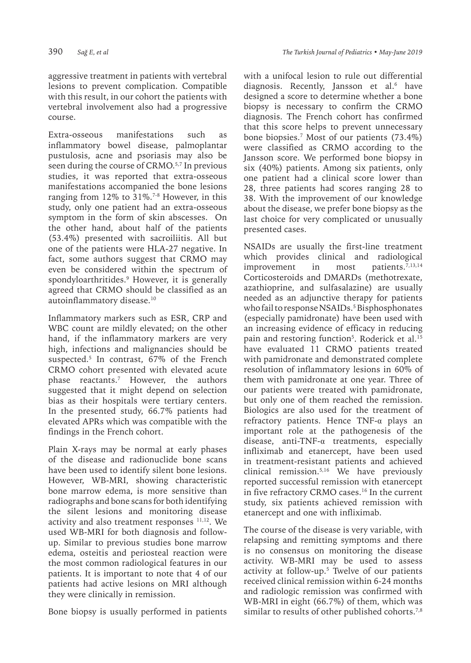aggressive treatment in patients with vertebral lesions to prevent complication. Compatible with this result, in our cohort the patients with vertebral involvement also had a progressive course.

Extra-osseous manifestations such as inflammatory bowel disease, palmoplantar pustulosis, acne and psoriasis may also be seen during the course of CRMO.<sup>5,7</sup> In previous studies, it was reported that extra-osseous manifestations accompanied the bone lesions ranging from 12% to 31%.<sup>7-8</sup> However, in this study, only one patient had an extra-osseous symptom in the form of skin abscesses. On the other hand, about half of the patients (53.4%) presented with sacroiliitis. All but one of the patients were HLA-27 negative. In fact, some authors suggest that CRMO may even be considered within the spectrum of spondyloarthritides.9 However, it is generally agreed that CRMO should be classified as an autoinflammatory disease.<sup>10</sup>

Inflammatory markers such as ESR, CRP and WBC count are mildly elevated; on the other hand, if the inflammatory markers are very high, infections and malignancies should be suspected.5 In contrast, 67% of the French CRMO cohort presented with elevated acute phase reactants.7 However, the authors suggested that it might depend on selection bias as their hospitals were tertiary centers. In the presented study, 66.7% patients had elevated APRs which was compatible with the findings in the French cohort.

Plain X-rays may be normal at early phases of the disease and radionuclide bone scans have been used to identify silent bone lesions. However, WB-MRI, showing characteristic bone marrow edema, is more sensitive than radiographs and bone scans for both identifying the silent lesions and monitoring disease activity and also treatment responses <sup>11,12</sup>. We used WB-MRI for both diagnosis and followup. Similar to previous studies bone marrow edema, osteitis and periosteal reaction were the most common radiological features in our patients. It is important to note that 4 of our patients had active lesions on MRI although they were clinically in remission.

Bone biopsy is usually performed in patients

with a unifocal lesion to rule out differential diagnosis. Recently, Jansson et al.6 have designed a score to determine whether a bone biopsy is necessary to confirm the CRMO diagnosis. The French cohort has confirmed that this score helps to prevent unnecessary bone biopsies.7 Most of our patients (73.4%) were classified as CRMO according to the Jansson score. We performed bone biopsy in six (40%) patients. Among six patients, only one patient had a clinical score lower than 28, three patients had scores ranging 28 to 38. With the improvement of our knowledge about the disease, we prefer bone biopsy as the last choice for very complicated or unusually presented cases.

NSAIDs are usually the first-line treatment which provides clinical and radiological improvement in most patients.<sup>7,13,14</sup> Corticosteroids and DMARDs (methotrexate, azathioprine, and sulfasalazine) are usually needed as an adjunctive therapy for patients who fail to response NSAIDs.5 Bisphosphonates (especially pamidronate) have been used with an increasing evidence of efficacy in reducing pain and restoring function<sup>5</sup>. Roderick et al.<sup>15</sup> have evaluated 11 CRMO patients treated with pamidronate and demonstrated complete resolution of inflammatory lesions in 60% of them with pamidronate at one year. Three of our patients were treated with pamidronate, but only one of them reached the remission. Biologics are also used for the treatment of refractory patients. Hence TNF-α plays an important role at the pathogenesis of the disease, anti-TNF-α treatments, especially infliximab and etanercept, have been used in treatment-resistant patients and achieved clinical remission.5,16 We have previously reported successful remission with etanercept in five refractory CRMO cases.<sup>16</sup> In the current study, six patients achieved remission with etanercept and one with infliximab.

The course of the disease is very variable, with relapsing and remitting symptoms and there is no consensus on monitoring the disease activity. WB-MRI may be used to assess activity at follow-up.5 Twelve of our patients received clinical remission within 6-24 months and radiologic remission was confirmed with WB-MRI in eight (66.7%) of them, which was similar to results of other published cohorts.<sup>7,8</sup>